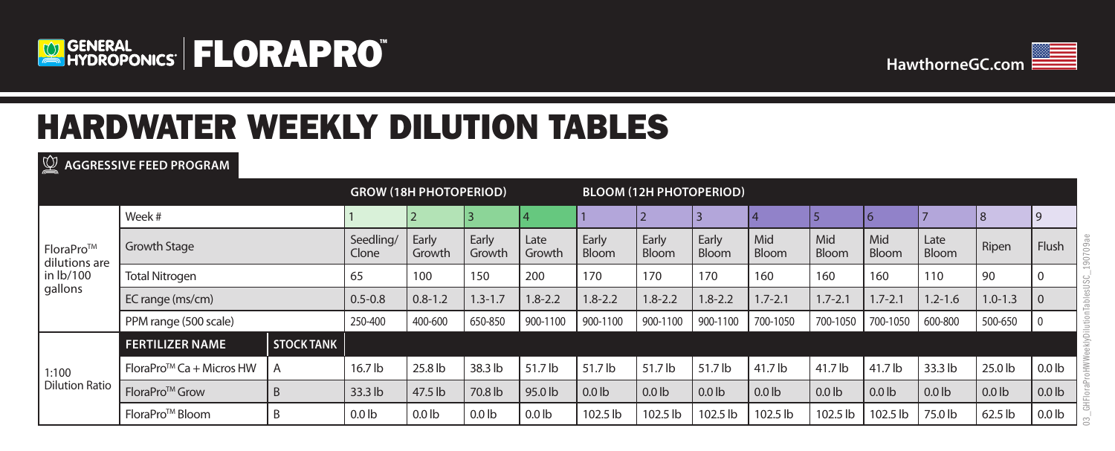



# HARDWATER WEEKLY DILUTION TABLES

**AGGRESSIVE FEED PROGRAM**

|                                                    | <b>GROW (18H PHOTOPERIOD)</b> |                   |                    |                  | <b>BLOOM (12H PHOTOPERIOD)</b> |                  |                |                       |                |                     |                     |                     |               |                   |                   |
|----------------------------------------------------|-------------------------------|-------------------|--------------------|------------------|--------------------------------|------------------|----------------|-----------------------|----------------|---------------------|---------------------|---------------------|---------------|-------------------|-------------------|
| FloraPro™<br>dilutions are<br>in lb/100<br>gallons | Week #                        |                   |                    |                  |                                |                  |                |                       |                |                     |                     | 6                   |               |                   |                   |
|                                                    | <b>Growth Stage</b>           |                   | Seedling/<br>Clone | Early<br>Growth  | Early<br>Growth                | Late<br>Growth   | Early<br>Bloom | Early<br><b>Bloom</b> | Early<br>Bloom | Mid<br><b>Bloom</b> | Mid<br><b>Bloom</b> | Mid<br><b>Bloom</b> | Late<br>Bloom | Ripen             | <b>Flush</b>      |
|                                                    | <b>Total Nitrogen</b>         |                   | 65                 | 100              | 150                            | 200              | 170            | 170                   | 170            | 160                 | 160                 | 160                 | 110           | 90                |                   |
|                                                    | EC range (ms/cm)              |                   | $0.5 - 0.8$        | $0.8 - 1.2$      | $1.3 - 1.7$                    | $1.8 - 2.2$      | $1.8 - 2.2$    | $1.8 - 2.2$           | $1.8 - 2.2$    | $1.7 - 2.1$         | $1.7 - 2.1$         | $1.7 - 2.1$         | $.2 - 1.6$    | $1.0 - 1.3$       | $\Omega$          |
|                                                    | PPM range (500 scale)         |                   | 250-400            | 400-600          | 650-850                        | 900-1100         | 900-1100       | 900-1100              | 900-1100       | 700-1050            | 700-1050            | 700-1050            | 600-800       | 500-650           |                   |
|                                                    | <b>FERTILIZER NAME</b>        | <b>STOCK TANK</b> |                    |                  |                                |                  |                |                       |                |                     |                     |                     |               |                   |                   |
| 1:100                                              | $FloraProTM Ca + Microsoft$   | A                 | 16.7 lb            | 25.8 lb          | 38.3 lb                        | 51.7 lb          | 51.7 lb        | 51.7 lb               | 51.7 lb        | 41.7 lb             | 41.7 lb             | 41.7 lb             | 33.3 lb       | 25.0 lb           | 0.0 <sub>1b</sub> |
| <b>Dilution Ratio</b>                              | FloraPro <sup>™</sup> Grow    | B                 | 33.3 lb            | 47.5 lb          | 70.8 lb                        | 95.0 lb          | $0.0$ lb       | $0.0$ lb              | $0.0$ lb       | $0.0$ lb            | $0.0$ lb            | $0.0$ lb            | $0.0$ lb      | 0.01 <sub>b</sub> | 0.0 <sub>lb</sub> |
|                                                    | FloraPro <sup>™</sup> Bloom   | B                 | 0.0 <sub>1b</sub>  | 0.0 <sub>1</sub> | $0.0$ lb                       | 0.0 <sub>1</sub> | 102.5 lb       | 102.5 lb              | 102.5 lb       | 102.5 lb            | 102.5 lb            | 102.5 lb            | 75.0 lb       | 62.5 lb           | 0.0 <sub>1</sub>  |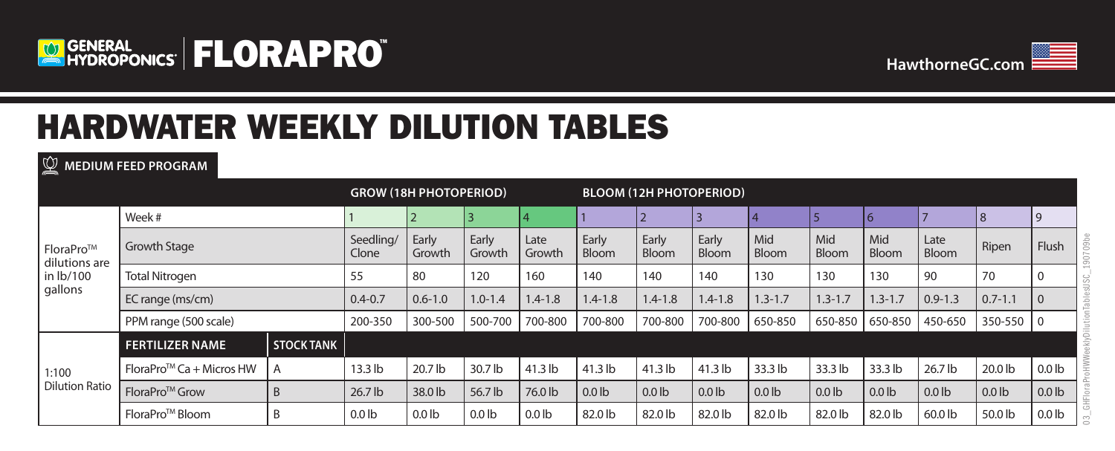



# HARDWATER WEEKLY DILUTION TABLES

**MEDIUM FEED PROGRAM**

|                                                    |                             |                   |                    | <b>GROW (18H PHOTOPERIOD)</b> |                 |                   | <b>BLOOM (12H PHOTOPERIOD)</b> |                |                       |                     |              |              |               |             |                   |
|----------------------------------------------------|-----------------------------|-------------------|--------------------|-------------------------------|-----------------|-------------------|--------------------------------|----------------|-----------------------|---------------------|--------------|--------------|---------------|-------------|-------------------|
| FloraPro™<br>dilutions are<br>in lb/100<br>gallons | Week #                      |                   |                    |                               |                 |                   |                                |                |                       |                     |              | 6            |               | 8           | 9                 |
|                                                    | <b>Growth Stage</b>         |                   | Seedling/<br>Clone | Early<br>Growth               | Early<br>Growth | Late<br>Growth    | Early<br>Bloom                 | Early<br>Bloom | Early<br><b>Bloom</b> | Mid<br><b>Bloom</b> | Mid<br>Bloom | Mid<br>Bloom | Late<br>Bloom | Ripen       | <b>Flush</b>      |
|                                                    | <b>Total Nitrogen</b>       |                   | 55                 | 80                            | 120             | 160               | 140                            | 140            | 140                   | 130                 | 130          | 130          | 90            | 70          |                   |
|                                                    | EC range (ms/cm)            |                   | $0.4 - 0.7$        | $0.6 - 1.0$                   | $1.0 - 1.4$     | $1.4 - 1.8$       | $1.4 - 1.8$                    | $1.4 - 1.8$    | $1.4 - 1.8$           | $1.3 - 1.7$         | $1.3 - 1.7$  | $.3 - 1.7$   | $0.9 - 1.3$   | $0.7 - 1.1$ | $\Omega$          |
|                                                    | PPM range (500 scale)       |                   | 200-350            | 300-500                       | 500-700         | 700-800           | 700-800                        | 700-800        | 700-800               | 650-850             | 650-850      | 650-850      | 450-650       | 350-550     | l 0               |
|                                                    | <b>FERTILIZER NAME</b>      | <b>STOCK TANK</b> |                    |                               |                 |                   |                                |                |                       |                     |              |              |               |             |                   |
| 1:100                                              | $FloraProTM Ca + Microsoft$ | A                 | $13.3$ lb          | 20.7 lb                       | 30.7 lb         | 41.3 lb           | 41.3 lb                        | 41.3 lb        | 41.3 lb               | 33.3 lb             | 33.3 lb      | 33.3 lb      | 26.7 lb       | 20.0 lb     | 0.0 <sub>lb</sub> |
| <b>Dilution Ratio</b>                              | FloraPro <sup>™</sup> Grow  | B                 | $26.7$ lb          | 38.0 lb                       | 56.7 lb         | 76.0 lb           | $0.0$ lb                       | $0.0$ lb       | $0.0$ lb              | 0.0 <sub>1</sub> b  | $0.0$ lb     | $0.0$ lb     | $0.0$ lb      | $0.0$ lb    | 0.0 <sub>lb</sub> |
|                                                    | FloraPro <sup>™</sup> Bloom | B                 | 0.0 <sub>1b</sub>  | 0.0 <sub>1</sub> b            | $0.0$ lb        | 0.0 <sub>lb</sub> | 82.0 lb                        | 82.0 lb        | 82.0 lb               | 82.0 lb             | 82.0 lb      | 82.0 lb      | 60.0 lb       | 50.0 lb     | 0.0 <sub>1</sub>  |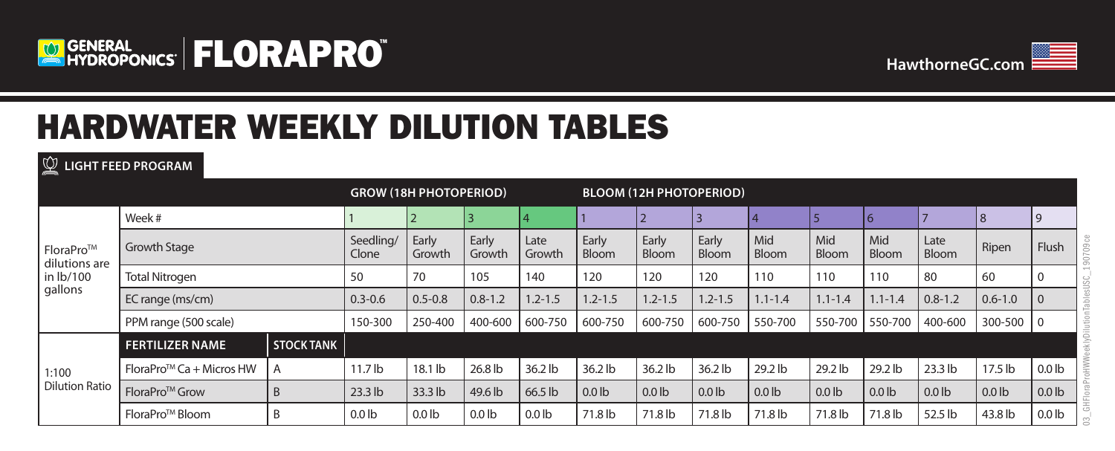



## HARDWATER WEEKLY DILUTION TABLES

**LIGHT FEED PROGRAM**

|                                                    |                                        |                   | <b>GROW (18H PHOTOPERIOD)</b> |                  |                 |                   |                       | <b>BLOOM (12H PHOTOPERIOD)</b> |                |              |              |                     |               |             |                   |
|----------------------------------------------------|----------------------------------------|-------------------|-------------------------------|------------------|-----------------|-------------------|-----------------------|--------------------------------|----------------|--------------|--------------|---------------------|---------------|-------------|-------------------|
| FloraPro™<br>dilutions are<br>in lb/100<br>gallons | Week #                                 |                   |                               |                  |                 |                   |                       |                                |                |              |              | 6                   |               | 8           | 9                 |
|                                                    | <b>Growth Stage</b>                    |                   | Seedling/<br>Clone            | Early<br>Growth  | Early<br>Growth | Late<br>Growth    | Early<br><b>Bloom</b> | Early<br>Bloom                 | Early<br>Bloom | Mid<br>Bloom | Mid<br>Bloom | Mid<br><b>Bloom</b> | Late<br>Bloom | Ripen       | Flush             |
|                                                    | <b>Total Nitrogen</b>                  |                   | 50                            | 70               | 105             | 140               | 120                   | 120                            | 120            | 110          | 110          | 110                 | 80            | 60          | $\mathbf 0$       |
|                                                    | EC range (ms/cm)                       |                   | $0.3 - 0.6$                   | $0.5 - 0.8$      | $0.8 - 1.2$     | $.2 - 1.5$        | $1.2 - 1.5$           | $1.2 - 1.5$                    | $1.2 - 1.5$    | $1.1 - 1.4$  | $1.1 - 1.4$  | $1.1 - 1.4$         | $0.8 - 1.2$   | $0.6 - 1.0$ | $\Omega$          |
|                                                    | PPM range (500 scale)                  |                   | 150-300                       | 250-400          | 400-600         | 600-750           | 600-750               | 600-750                        | 600-750        | 550-700      | 550-700      | 550-700             | 400-600       | 300-500     | $\overline{0}$    |
|                                                    | <b>FERTILIZER NAME</b>                 | <b>STOCK TANK</b> |                               |                  |                 |                   |                       |                                |                |              |              |                     |               |             |                   |
| 1:100                                              | Flora $Pro^{\text{TM}}$ Ca + Micros HW | A                 | $11.7$ lb                     | $18.1$ lb        | 26.8 lb         | $36.2$ lb         | 36.2 lb               | 36.2 lb                        | $36.2$ lb      | 29.2 lb      | 29.2 lb      | 29.2 lb             | 23.3 lb       | $17.5$ lb   | 0.0 <sub>lb</sub> |
| <b>Dilution Ratio</b>                              | FloraPro <sup>™</sup> Grow             | B                 | $23.3$ lb                     | 33.3 lb          | 49.6 lb         | 66.5 lb           | $0.0$ lb              | $0.0$ lb                       | $0.0$ lb       | $0.0$ lb     | $0.0$ lb     | $0.0$ lb            | $0.0$ lb      | $0.0$ lb    | 0.0 <sub>lb</sub> |
|                                                    | FloraPro <sup>™</sup> Bloom            | B                 | 0.0 <sub>1</sub>              | 0.0 <sub>1</sub> | $0.0$ lb        | 0.0 <sub>lb</sub> | 71.8 lb               | 71.8 lb                        | 71.8 lb        | 71.8 lb      | 71.8 lb      | 71.8 lb             | 52.5 lb       | 43.8 lb     | 0.0 <sub>lb</sub> |